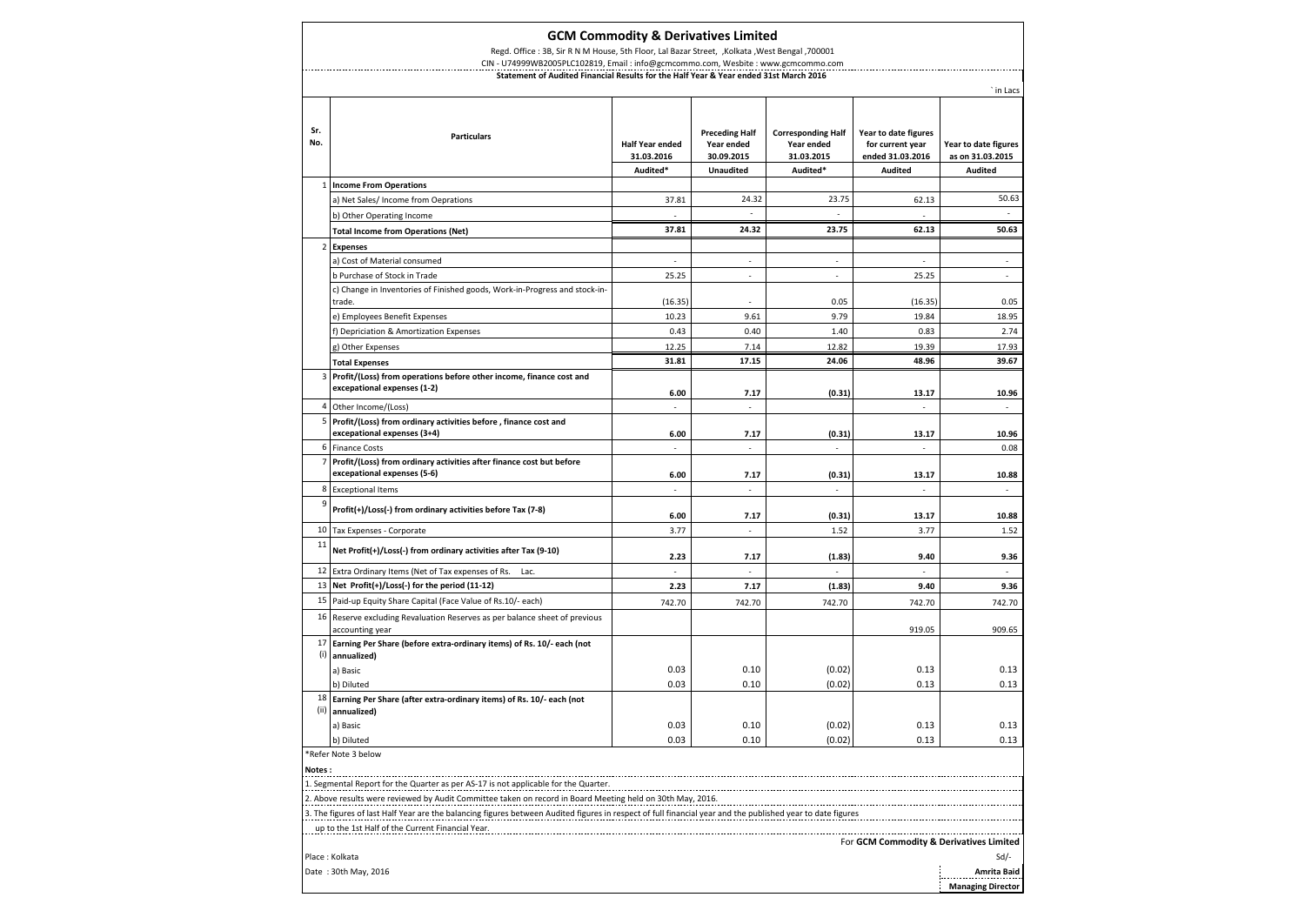| <b>GCM Commodity &amp; Derivatives Limited</b>                                                     |                                                                                                     |                                                  |                                                                       |                                                                   |                                                                                |                                                            |  |  |
|----------------------------------------------------------------------------------------------------|-----------------------------------------------------------------------------------------------------|--------------------------------------------------|-----------------------------------------------------------------------|-------------------------------------------------------------------|--------------------------------------------------------------------------------|------------------------------------------------------------|--|--|
| Regd. Office: 3B, Sir R N M House, 5th Floor, Lal Bazar Street, , Kolkata , West Bengal , 700001   |                                                                                                     |                                                  |                                                                       |                                                                   |                                                                                |                                                            |  |  |
|                                                                                                    | CIN - U74999WB2005PLC102819, Email : info@gcmcommo.com, Wesbite : www.gcmcommo.com                  |                                                  |                                                                       |                                                                   |                                                                                |                                                            |  |  |
| Statement of Audited Financial Results for the Half Year & Year ended 31st March 2016<br>` in Lacs |                                                                                                     |                                                  |                                                                       |                                                                   |                                                                                |                                                            |  |  |
|                                                                                                    |                                                                                                     |                                                  |                                                                       |                                                                   |                                                                                |                                                            |  |  |
| Sr.<br>No.                                                                                         | <b>Particulars</b>                                                                                  | <b>Half Year ended</b><br>31.03.2016<br>Audited* | <b>Preceding Half</b><br>Year ended<br>30.09.2015<br><b>Unaudited</b> | <b>Corresponding Half</b><br>Year ended<br>31.03.2015<br>Audited* | Year to date figures<br>for current year<br>ended 31.03.2016<br><b>Audited</b> | Year to date figures<br>as on 31.03.2015<br><b>Audited</b> |  |  |
|                                                                                                    | 1   Income From Operations                                                                          |                                                  |                                                                       |                                                                   |                                                                                |                                                            |  |  |
|                                                                                                    | a) Net Sales/ Income from Oeprations                                                                | 37.81                                            | 24.32                                                                 | 23.75                                                             | 62.13                                                                          | 50.63                                                      |  |  |
|                                                                                                    | b) Other Operating Income                                                                           |                                                  |                                                                       |                                                                   |                                                                                |                                                            |  |  |
|                                                                                                    | <b>Total Income from Operations (Net)</b>                                                           | 37.81                                            | 24.32                                                                 | 23.75                                                             | 62.13                                                                          | 50.63                                                      |  |  |
| $\overline{2}$                                                                                     | <b>Expenses</b>                                                                                     |                                                  |                                                                       |                                                                   |                                                                                |                                                            |  |  |
|                                                                                                    | a) Cost of Material consumed                                                                        | ÷.                                               | ÷                                                                     | ÷.                                                                | ÷.                                                                             | ÷.                                                         |  |  |
|                                                                                                    | b Purchase of Stock in Trade                                                                        | 25.25                                            | ÷.                                                                    | J.                                                                | 25.25                                                                          |                                                            |  |  |
|                                                                                                    | c) Change in Inventories of Finished goods, Work-in-Progress and stock-in-<br>trade.                | (16.35)                                          |                                                                       | 0.05                                                              | (16.35)                                                                        | 0.05                                                       |  |  |
|                                                                                                    | e) Employees Benefit Expenses                                                                       | 10.23                                            | 9.61                                                                  | 9.79                                                              | 19.84                                                                          | 18.95                                                      |  |  |
|                                                                                                    | f) Depriciation & Amortization Expenses                                                             | 0.43                                             | 0.40                                                                  | 1.40                                                              | 0.83                                                                           | 2.74                                                       |  |  |
|                                                                                                    | g) Other Expenses                                                                                   | 12.25                                            | 7.14                                                                  | 12.82                                                             | 19.39                                                                          | 17.93                                                      |  |  |
|                                                                                                    | <b>Total Expenses</b>                                                                               | 31.81                                            | 17.15                                                                 | 24.06                                                             | 48.96                                                                          | 39.67                                                      |  |  |
| 3                                                                                                  | Profit/(Loss) from operations before other income, finance cost and<br>excepational expenses (1-2)  | 6.00                                             | 7.17                                                                  | (0.31)                                                            | 13.17                                                                          | 10.96                                                      |  |  |
|                                                                                                    | 4 Other Income/(Loss)                                                                               | $\mathcal{L}_{\mathcal{A}}$                      | $\mathcal{L}_{\mathcal{A}}$                                           |                                                                   | $\mathcal{L}_{\mathcal{A}}$                                                    | ÷                                                          |  |  |
| 5                                                                                                  | Profit/(Loss) from ordinary activities before, finance cost and<br>excepational expenses (3+4)      | 6.00                                             | 7.17                                                                  | (0.31)                                                            | 13.17                                                                          | 10.96                                                      |  |  |
|                                                                                                    | 6 Finance Costs                                                                                     | ÷,                                               | ÷                                                                     | ä,                                                                |                                                                                | 0.08                                                       |  |  |
| 7                                                                                                  | Profit/(Loss) from ordinary activities after finance cost but before<br>excepational expenses (5-6) | 6.00                                             | 7.17                                                                  | (0.31)                                                            | 13.17                                                                          | 10.88                                                      |  |  |
| 8                                                                                                  | <b>Exceptional Items</b>                                                                            | ÷.                                               | i.                                                                    | ×.                                                                | ÷                                                                              |                                                            |  |  |
| 9                                                                                                  | Profit(+)/Loss(-) from ordinary activities before Tax (7-8)                                         | 6.00                                             | 7.17                                                                  | (0.31)                                                            | 13.17                                                                          | 10.88                                                      |  |  |
|                                                                                                    | 10 Tax Expenses - Corporate                                                                         | 3.77                                             |                                                                       | 1.52                                                              | 3.77                                                                           | 1.52                                                       |  |  |
| $11\,$                                                                                             | Net Profit(+)/Loss(-) from ordinary activities after Tax (9-10)                                     | 2.23                                             | 7.17                                                                  | (1.83)                                                            | 9.40                                                                           | 9.36                                                       |  |  |
| 12                                                                                                 | Extra Ordinary Items (Net of Tax expenses of Rs.<br>Lac.                                            | ٠                                                |                                                                       |                                                                   |                                                                                |                                                            |  |  |
|                                                                                                    | 13 Net Profit $(+)/$ Loss $(-)$ for the period (11-12)                                              | 2.23                                             | 7.17                                                                  | (1.83)                                                            | 9.40                                                                           | 9.36                                                       |  |  |
| 15                                                                                                 | Paid-up Equity Share Capital (Face Value of Rs.10/- each)                                           | 742.70                                           | 742.70                                                                | 742.70                                                            | 742.70                                                                         | 742.70                                                     |  |  |
|                                                                                                    | 16 Reserve excluding Revaluation Reserves as per balance sheet of previous<br>accounting year       |                                                  |                                                                       |                                                                   | 919.05                                                                         | 909.65                                                     |  |  |
| 17<br>(i)                                                                                          | Earning Per Share (before extra-ordinary items) of Rs. 10/- each (not<br>annualized)                |                                                  |                                                                       |                                                                   |                                                                                |                                                            |  |  |
|                                                                                                    | a) Basic                                                                                            | 0.03                                             | 0.10                                                                  | (0.02)                                                            | 0.13                                                                           | 0.13                                                       |  |  |
|                                                                                                    | b) Diluted                                                                                          | 0.03                                             | 0.10                                                                  | (0.02)                                                            | 0.13                                                                           | 0.13                                                       |  |  |
|                                                                                                    | $18$ Earning Per Share (after extra-ordinary items) of Rs. 10/- each (not<br>(ii) annualized)       |                                                  |                                                                       |                                                                   |                                                                                |                                                            |  |  |
|                                                                                                    | a) Basic                                                                                            | 0.03                                             | 0.10                                                                  | (0.02)                                                            | 0.13                                                                           | 0.13                                                       |  |  |
|                                                                                                    | b) Diluted                                                                                          | 0.03                                             | 0.10                                                                  | (0.02)                                                            | 0.13                                                                           | 0.13                                                       |  |  |
|                                                                                                    | *Refer Note 3 below                                                                                 |                                                  |                                                                       |                                                                   |                                                                                |                                                            |  |  |

**Notes :**

1. Segmental Report for the Quarter as per AS-17 is not applicable for the Quarter.

2. Above results were reviewed by Audit Committee taken on record in Board Meeting held on 30th May, 2016.

3. The figures of last Half Year are the balancing figures between Audited figures in respect of full financial year and the published year to date figures

up to the 1st Half of the Current Financial Year.

For **GCM Commodity & Derivatives Limited**

| Place: Kolkata       | Sd/                      |
|----------------------|--------------------------|
| Date: 30th May, 2016 | Amrita Baid<br>          |
|                      | <b>Managing Director</b> |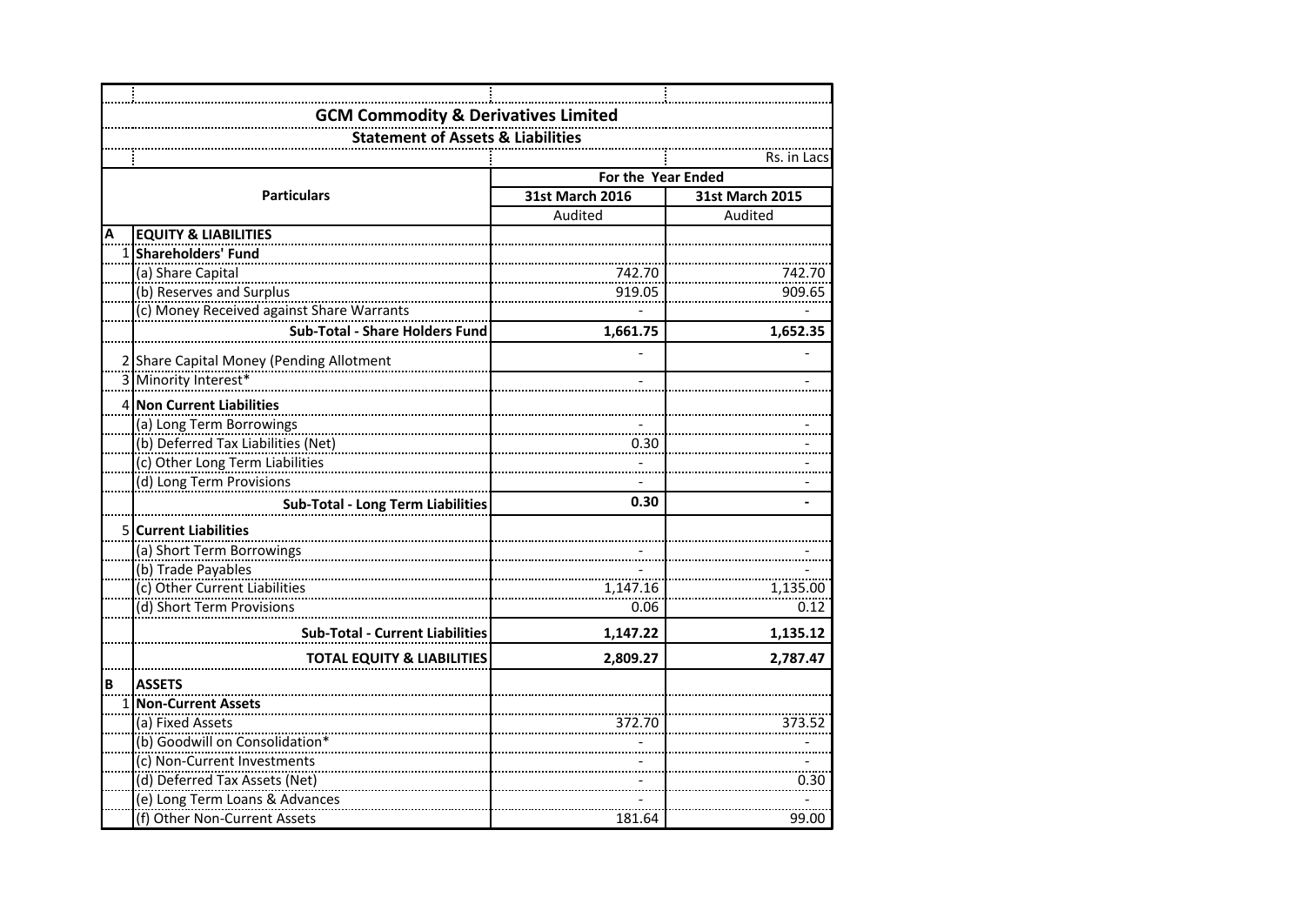|   | <b>GCM Commodity &amp; Derivatives Limited</b> |                        |                 |  |  |  |
|---|------------------------------------------------|------------------------|-----------------|--|--|--|
|   | <b>Statement of Assets &amp; Liabilities</b>   |                        |                 |  |  |  |
|   |                                                |                        | Rs. in Lacs     |  |  |  |
|   |                                                | For the Year Ended     |                 |  |  |  |
|   | <b>Particulars</b>                             | <b>31st March 2016</b> | 31st March 2015 |  |  |  |
|   |                                                | Audited                | Audited         |  |  |  |
| А | <b>EQUITY &amp; LIABILITIES</b>                |                        |                 |  |  |  |
|   | 1 Shareholders' Fund                           |                        |                 |  |  |  |
|   | (a) Share Capital                              | 742.70                 | 742.70          |  |  |  |
|   | (b) Reserves and Surplus                       | 919.05                 | 909.65          |  |  |  |
|   | (c) Money Received against Share Warrants      |                        |                 |  |  |  |
|   | <b>Sub-Total - Share Holders Fund</b>          | 1,661.75               | 1,652.35        |  |  |  |
|   |                                                |                        |                 |  |  |  |
|   | 2 Share Capital Money (Pending Allotment       |                        |                 |  |  |  |
|   | 3 Minority Interest*                           |                        |                 |  |  |  |
|   | 4 Non Current Liabilities                      |                        |                 |  |  |  |
|   | (a) Long Term Borrowings                       |                        |                 |  |  |  |
|   | (b) Deferred Tax Liabilities (Net)             | 0.30                   |                 |  |  |  |
|   | (c) Other Long Term Liabilities                |                        |                 |  |  |  |
|   | (d) Long Term Provisions                       |                        |                 |  |  |  |
|   | <b>Sub-Total - Long Term Liabilities</b>       | 0.30                   |                 |  |  |  |
|   | 5 Current Liabilities                          |                        |                 |  |  |  |
|   | (a) Short Term Borrowings                      |                        |                 |  |  |  |
|   | (b) Trade Payables                             |                        |                 |  |  |  |
|   | (c) Other Current Liabilities                  | 1,147.16               | 1,135.00        |  |  |  |
|   | (d) Short Term Provisions                      | 0.06                   | 0.12            |  |  |  |
|   | <b>Sub-Total - Current Liabilities</b>         | 1,147.22               | 1,135.12        |  |  |  |
|   |                                                |                        |                 |  |  |  |
|   | <b>TOTAL EQUITY &amp; LIABILITIES</b>          | 2,809.27               | 2,787.47        |  |  |  |
| B | <b>ASSETS</b>                                  |                        |                 |  |  |  |
|   | 1 Non-Current Assets                           |                        |                 |  |  |  |
|   | (a) Fixed Assets                               | 372.70                 | 373.52          |  |  |  |
|   | (b) Goodwill on Consolidation*                 |                        |                 |  |  |  |
|   | (c) Non-Current Investments                    |                        |                 |  |  |  |
|   | (d) Deferred Tax Assets (Net)                  |                        | 0.30            |  |  |  |
|   | (e) Long Term Loans & Advances                 |                        |                 |  |  |  |
|   | (f) Other Non-Current Assets                   | 181.64                 | 99.00           |  |  |  |